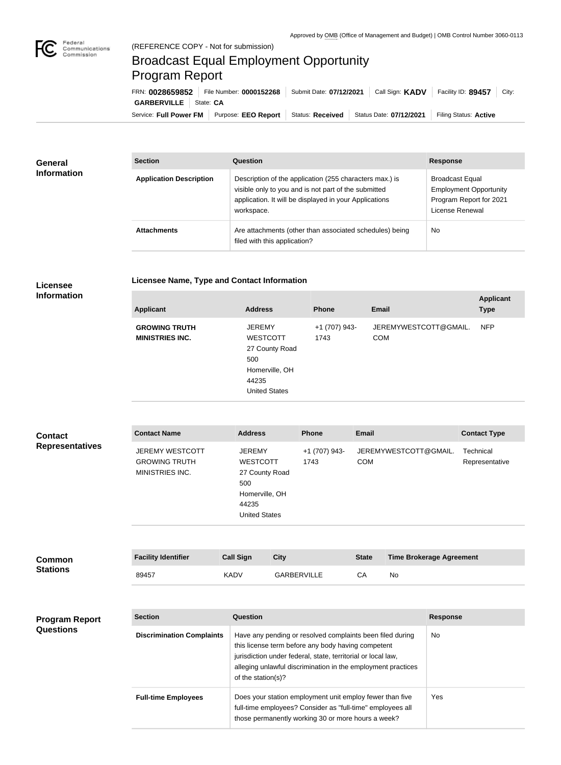

## Broadcast Equal Employment Opportunity Program Report

Service: Full Power FM | Purpose: EEO Report | Status: Received | Status Date: 07/12/2021 | Filing Status: Active **GARBERVILLE** State: CA FRN: **0028659852** File Number: **0000152268** Submit Date: **07/12/2021** Call Sign: **KADV** Facility ID: **89457** City:

| <b>General</b><br><b>Information</b> | <b>Section</b>                 | Question                                                                                                                                                                                | <b>Response</b>                                                                                       |  |
|--------------------------------------|--------------------------------|-----------------------------------------------------------------------------------------------------------------------------------------------------------------------------------------|-------------------------------------------------------------------------------------------------------|--|
|                                      | <b>Application Description</b> | Description of the application (255 characters max.) is<br>visible only to you and is not part of the submitted<br>application. It will be displayed in your Applications<br>workspace. | <b>Broadcast Equal</b><br><b>Employment Opportunity</b><br>Program Report for 2021<br>License Renewal |  |
|                                      | <b>Attachments</b>             | Are attachments (other than associated schedules) being<br>filed with this application?                                                                                                 | <b>No</b>                                                                                             |  |

## **Licensee**

|  | Licensee Name, Type and Contact Information |
|--|---------------------------------------------|
|--|---------------------------------------------|

## **Information**

| <b>Applicant</b>                               | <b>Address</b>                                                                                               | <b>Phone</b>          | <b>Email</b>                        | <b>Applicant</b><br><b>Type</b> |
|------------------------------------------------|--------------------------------------------------------------------------------------------------------------|-----------------------|-------------------------------------|---------------------------------|
| <b>GROWING TRUTH</b><br><b>MINISTRIES INC.</b> | <b>JEREMY</b><br><b>WESTCOTT</b><br>27 County Road<br>500<br>Homerville, OH<br>44235<br><b>United States</b> | +1 (707) 943-<br>1743 | JEREMYWESTCOTT@GMAIL.<br><b>COM</b> | <b>NFP</b>                      |
|                                                |                                                                                                              |                       |                                     |                                 |

| <b>Contact</b>         | <b>Contact Name</b>                                               | <b>Address</b>                                                                                               | <b>Phone</b>          | <b>Email</b>                        | <b>Contact Type</b>         |
|------------------------|-------------------------------------------------------------------|--------------------------------------------------------------------------------------------------------------|-----------------------|-------------------------------------|-----------------------------|
| <b>Representatives</b> | <b>JEREMY WESTCOTT</b><br><b>GROWING TRUTH</b><br>MINISTRIES INC. | <b>JEREMY</b><br><b>WESTCOTT</b><br>27 County Road<br>500<br>Homerville, OH<br>44235<br><b>United States</b> | +1 (707) 943-<br>1743 | JEREMYWESTCOTT@GMAIL.<br><b>COM</b> | Technical<br>Representative |
|                        |                                                                   |                                                                                                              |                       |                                     |                             |

| Common          | <b>Facility Identifier</b> | <b>Call Sign</b> | City               | <b>State</b> | <b>Time Brokerage Agreement</b> |
|-----------------|----------------------------|------------------|--------------------|--------------|---------------------------------|
| <b>Stations</b> | 89457                      | <b>KADV</b>      | <b>GARBERVILLE</b> | CА           | Nc                              |

## **Program Report Questions**

| <b>Section</b>                   | Question                                                                                                                                                                                                                                                              | <b>Response</b> |
|----------------------------------|-----------------------------------------------------------------------------------------------------------------------------------------------------------------------------------------------------------------------------------------------------------------------|-----------------|
| <b>Discrimination Complaints</b> | Have any pending or resolved complaints been filed during<br>this license term before any body having competent<br>jurisdiction under federal, state, territorial or local law,<br>alleging unlawful discrimination in the employment practices<br>of the station(s)? | No.             |
| <b>Full-time Employees</b>       | Does your station employment unit employ fewer than five<br>full-time employees? Consider as "full-time" employees all<br>those permanently working 30 or more hours a week?                                                                                          | Yes             |